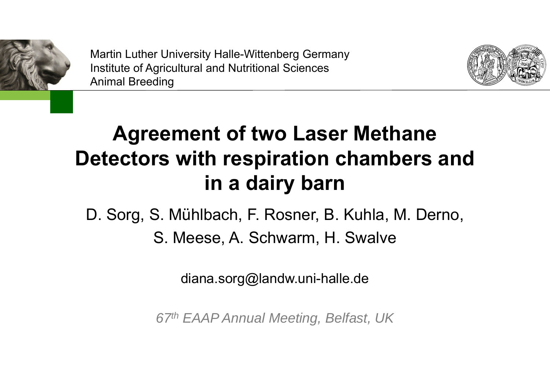

Martin Luther University Halle-Wittenberg Germany Institute of Agricultural and Nutritional Sciences Animal Breeding



# **Agreement of two Laser Methane Detectors with respiration chambers and in a dairy barn**

# D. Sorg, S. Mühlbach, F. Rosner, B. Kuhla, M. Derno,

S. Meese, A. Schwarm, H. Swalve

diana.sorg@landw.uni-halle.de

*67th EAAP Annual Meeting, Belfast, UK*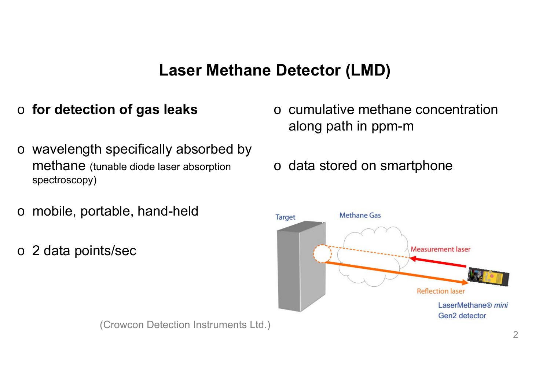### **Laser Methane Detector (LMD)**

#### o **for detection of gas leaks**

- o wavelength specifically absorbed by methane (tunable diode laser absorption spectroscopy)
- o mobile, portable, hand-held
- o 2 data points/sec
- o cumulative methane concentration along path in ppm-m
- o data stored on smartphone



(Crowcon Detection Instruments Ltd.)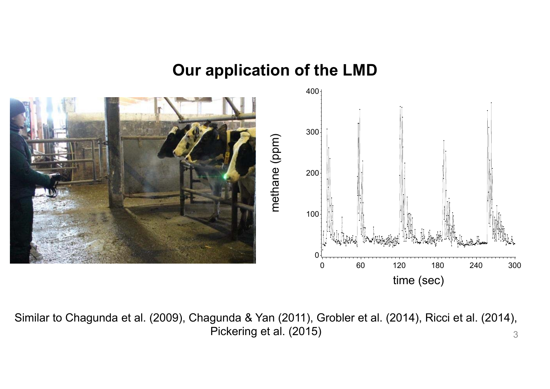#### **Our application of the LMD**



3Similar to Chagunda et al. (2009), Chagunda & Yan (2011), Grobler et al. (2014), Ricci et al. (2014), Pickering et al. (2015)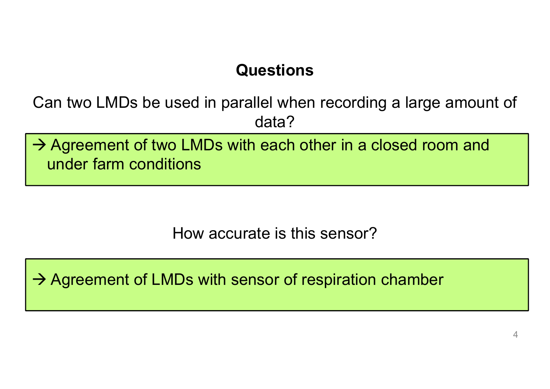# **Questions**

Can two LMDs be used in parallel when recording a large amount of data?

 $\rightarrow$  Agreement of two LMDs with each other in a closed room and under farm conditions

How accurate is this sensor?

 $\rightarrow$  Agreement of LMDs with sensor of respiration chamber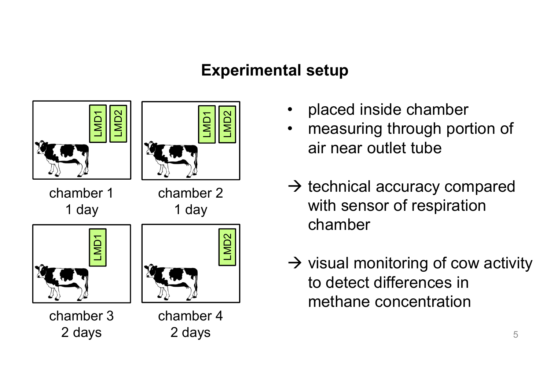## **Experimental setup**



- •placed inside chamber
- • measuring through portion of air near outlet tube
- $\rightarrow$  technical accuracy compared with sensor of respiration chamber
- $\rightarrow$  visual monitoring of cow activity to detect differences in methane concentration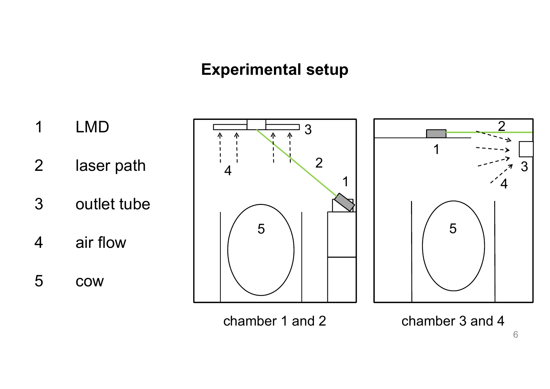### **Experimental setup**



chamber 1 and 2 chamber 3 and 4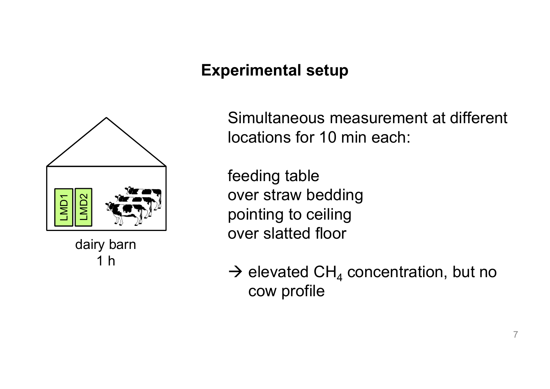## **Experimental setup**



dairy barn 1 h

Simultaneous measurement at different locations for 10 min each:

feeding table over straw bedding pointing to ceiling over slatted floor

 $\rightarrow$  elevated CH<sub>4</sub> concentration, but no cow profile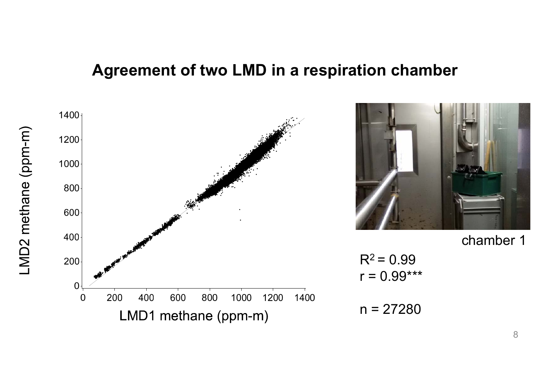#### **Agreement of two LMD in a respiration chamber**



LMD2 methane (ppm-m)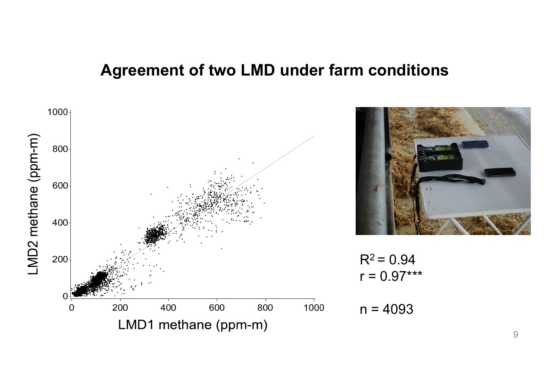### **Agreement of two LMD under farm conditions**

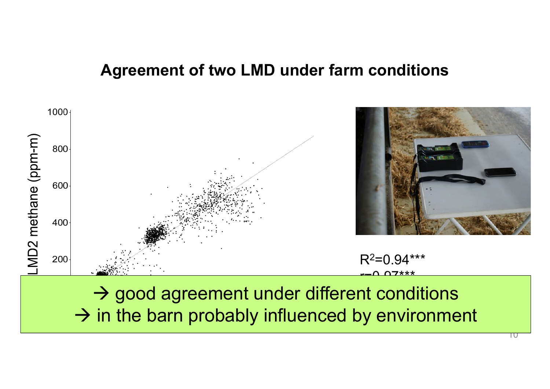### **Agreement of two LMD under farm conditions**

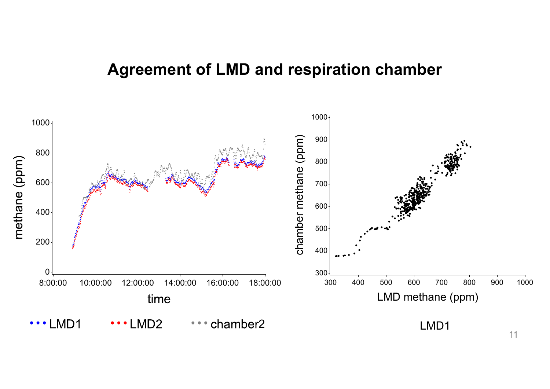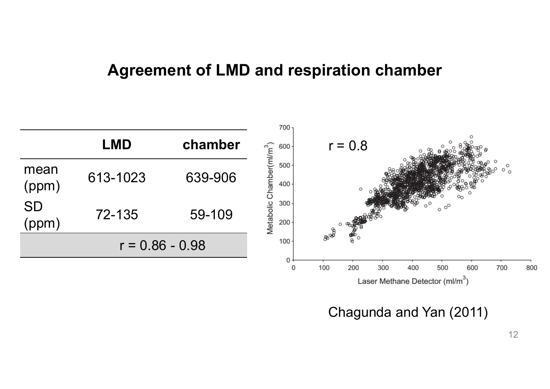

Chagunda and Yan (2011)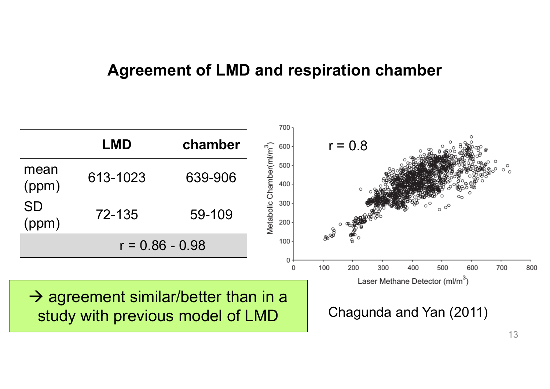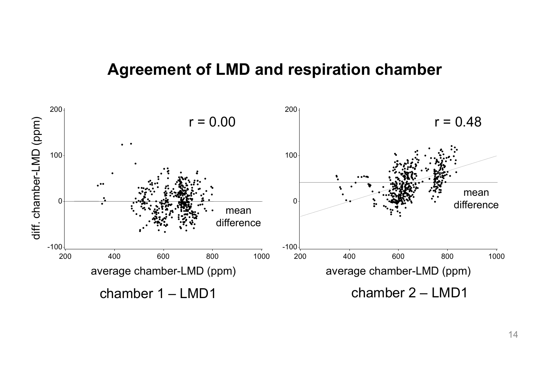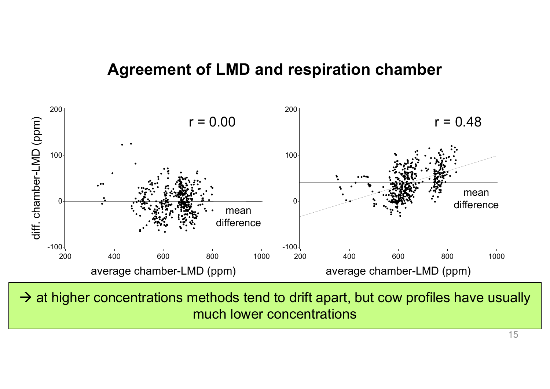

 $\rightarrow$  at higher concentrations methods tend to drift apart, but cow profiles have usually much lower concentrations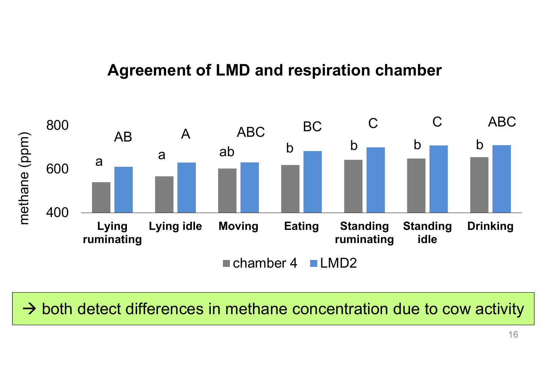

 $\rightarrow$  both detect differences in methane concentration due to cow activity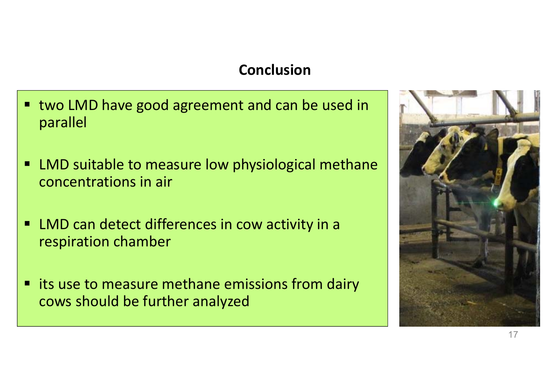#### **Conclusion**

- two LMD have good agreement and can be used in parallel
- $\blacksquare$  LMD suitable to measure low physiological methane concentrations in air
- LMD can detect differences in cow activity in a respiration chamber
- $\blacksquare$  its use to measure methane emissions from dairy cows should be further analyzed

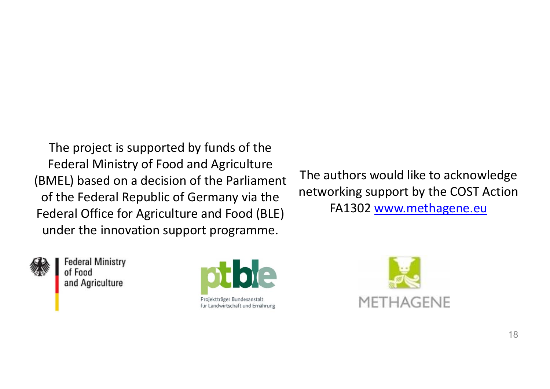The project is supported by funds of the Federal Ministry of Food and Agriculture (BMEL) based on a decision of the Parliament of the Federal Republic of Germany via the Federal Office for Agriculture and Food (BLE) under the innovation support programme.

The authors would like to acknowledge networking support by the COST Action FA1302 www.methagene.eu



**Federal Ministry** of Food and Agriculture



Projektträger Bundesanstalt für Landwirtschaft und Ernährung